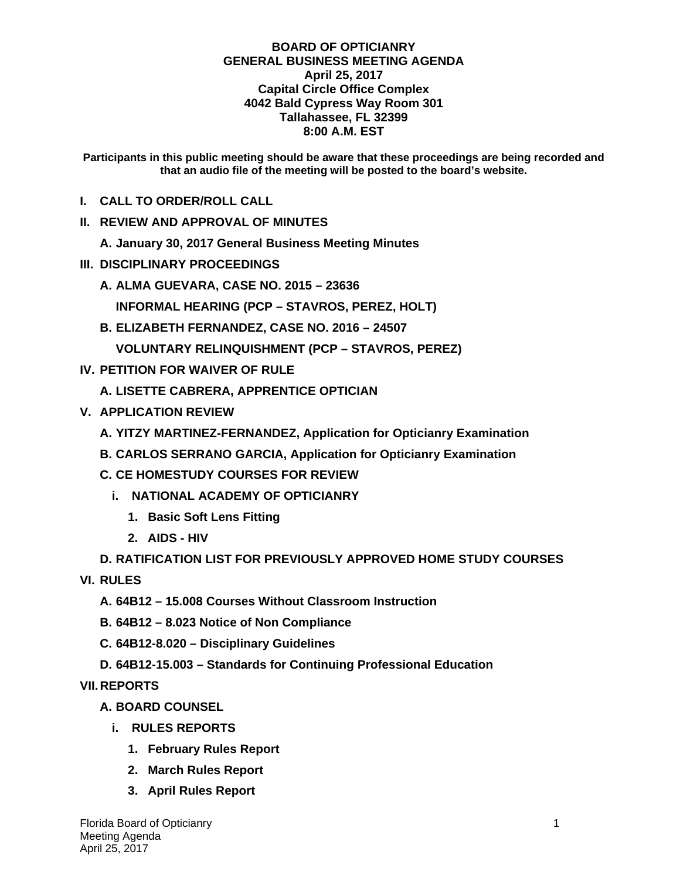## **BOARD OF OPTICIANRY GENERAL BUSINESS MEETING AGENDA April 25, 2017 Capital Circle Office Complex 4042 Bald Cypress Way Room 301 Tallahassee, FL 32399 8:00 A.M. EST**

**Participants in this public meeting should be aware that these proceedings are being recorded and that an audio file of the meeting will be posted to the board's website.** 

- **I. CALL TO ORDER/ROLL CALL**
- **II. REVIEW AND APPROVAL OF MINUTES**

**A. January 30, 2017 General Business Meeting Minutes** 

- **III. DISCIPLINARY PROCEEDINGS** 
	- **A. ALMA GUEVARA, CASE NO. 2015 23636** 
		- **INFORMAL HEARING (PCP STAVROS, PEREZ, HOLT)**
	- **B. ELIZABETH FERNANDEZ, CASE NO. 2016 24507 VOLUNTARY RELINQUISHMENT (PCP – STAVROS, PEREZ)**
- **IV. PETITION FOR WAIVER OF RULE** 
	- **A. LISETTE CABRERA, APPRENTICE OPTICIAN**
- **V. APPLICATION REVIEW** 
	- **A. YITZY MARTINEZ-FERNANDEZ, Application for Opticianry Examination**
	- **B. CARLOS SERRANO GARCIA, Application for Opticianry Examination**
	- **C. CE HOMESTUDY COURSES FOR REVIEW** 
		- **i. NATIONAL ACADEMY OF OPTICIANRY** 
			- **1. Basic Soft Lens Fitting**
			- **2. AIDS HIV**

## **D. RATIFICATION LIST FOR PREVIOUSLY APPROVED HOME STUDY COURSES**

**VI. RULES** 

- **A. 64B12 15.008 Courses Without Classroom Instruction**
- **B. 64B12 8.023 Notice of Non Compliance**
- **C. 64B12-8.020 Disciplinary Guidelines**
- **D. 64B12-15.003 Standards for Continuing Professional Education**

**VII. REPORTS** 

- **A. BOARD COUNSEL** 
	- **i. RULES REPORTS** 
		- **1. February Rules Report**
		- **2. March Rules Report**
		- **3. April Rules Report**